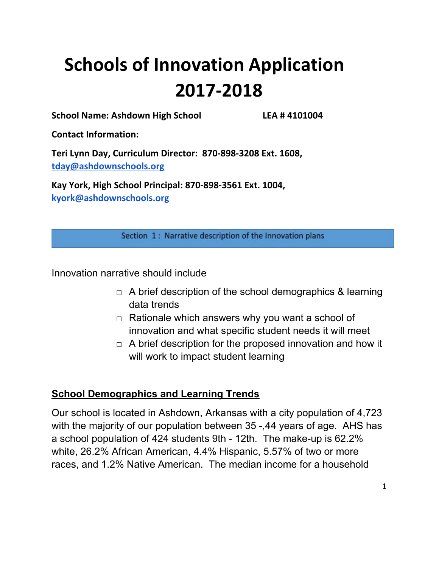# **Schools of Innovation Application 2017-2018**

**School Name: Ashdown High School LEA # 4101004**

**Contact Information:**

**Teri Lynn Day, Curriculum Director: 870-898-3208 Ext. 1608, [tday@ashdownschools.org](mailto:tday@ashdownschools.org)**

**Kay York, High School Principal: 870-898-3561 Ext. 1004, [kyork@ashdownschools.org](mailto:kyork@ashdownschools.org)**

Section 1: Narrative description of the Innovation plans

Innovation narrative should include

- $\Box$  A brief description of the school demographics & learning data trends
- $\Box$  Rationale which answers why you want a school of innovation and what specific student needs it will meet
- $\Box$  A brief description for the proposed innovation and how it will work to impact student learning

# **School Demographics and Learning Trends**

Our school is located in Ashdown, Arkansas with a city population of 4,723 with the majority of our population between 35 -,44 years of age. AHS has a school population of 424 students 9th - 12th. The make-up is 62.2% white, 26.2% African American, 4.4% Hispanic, 5.57% of two or more races, and 1.2% Native American. The median income for a household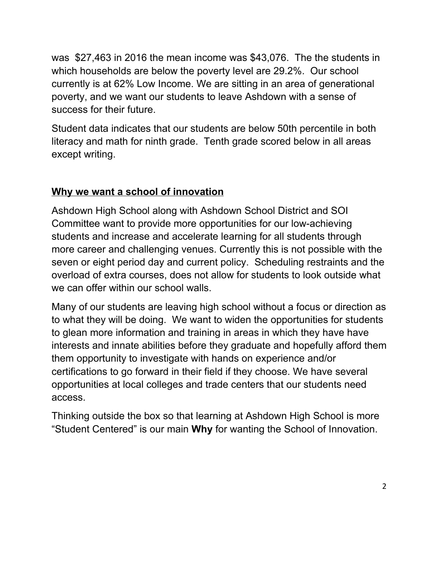was \$27,463 in 2016 the mean income was \$43,076. The the students in which households are below the poverty level are 29.2%. Our school currently is at 62% Low Income. We are sitting in an area of generational poverty, and we want our students to leave Ashdown with a sense of success for their future.

Student data indicates that our students are below 50th percentile in both literacy and math for ninth grade. Tenth grade scored below in all areas except writing.

# **Why we want a school of innovation**

Ashdown High School along with Ashdown School District and SOI Committee want to provide more opportunities for our low-achieving students and increase and accelerate learning for all students through more career and challenging venues. Currently this is not possible with the seven or eight period day and current policy. Scheduling restraints and the overload of extra courses, does not allow for students to look outside what we can offer within our school walls.

Many of our students are leaving high school without a focus or direction as to what they will be doing. We want to widen the opportunities for students to glean more information and training in areas in which they have have interests and innate abilities before they graduate and hopefully afford them them opportunity to investigate with hands on experience and/or certifications to go forward in their field if they choose. We have several opportunities at local colleges and trade centers that our students need access.

Thinking outside the box so that learning at Ashdown High School is more "Student Centered" is our main **Why** for wanting the School of Innovation.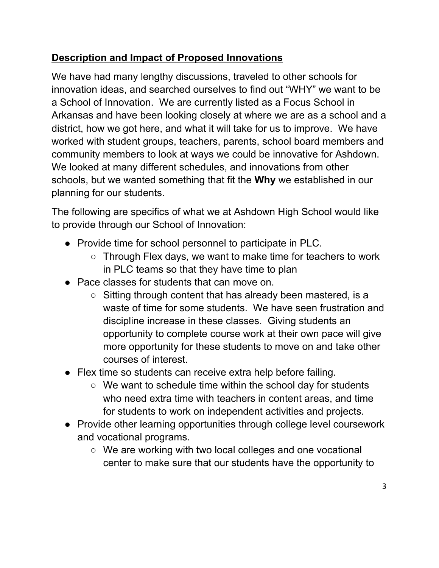# **Description and Impact of Proposed Innovations**

We have had many lengthy discussions, traveled to other schools for innovation ideas, and searched ourselves to find out "WHY" we want to be a School of Innovation. We are currently listed as a Focus School in Arkansas and have been looking closely at where we are as a school and a district, how we got here, and what it will take for us to improve. We have worked with student groups, teachers, parents, school board members and community members to look at ways we could be innovative for Ashdown. We looked at many different schedules, and innovations from other schools, but we wanted something that fit the **Why** we established in our planning for our students.

The following are specifics of what we at Ashdown High School would like to provide through our School of Innovation:

- Provide time for school personnel to participate in PLC.
	- Through Flex days, we want to make time for teachers to work in PLC teams so that they have time to plan
- Pace classes for students that can move on.
	- Sitting through content that has already been mastered, is a waste of time for some students. We have seen frustration and discipline increase in these classes. Giving students an opportunity to complete course work at their own pace will give more opportunity for these students to move on and take other courses of interest.
- Flex time so students can receive extra help before failing.
	- We want to schedule time within the school day for students who need extra time with teachers in content areas, and time for students to work on independent activities and projects.
- Provide other learning opportunities through college level coursework and vocational programs.
	- We are working with two local colleges and one vocational center to make sure that our students have the opportunity to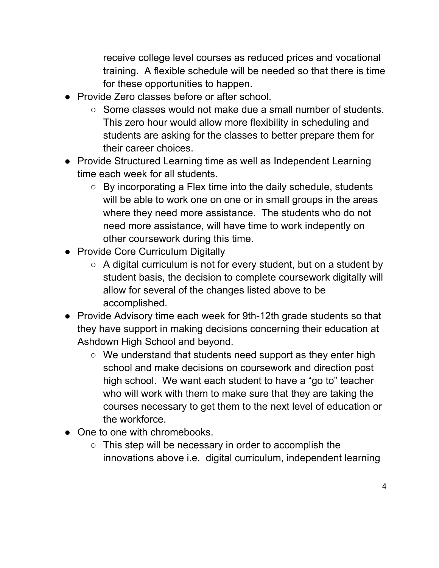receive college level courses as reduced prices and vocational training. A flexible schedule will be needed so that there is time for these opportunities to happen.

- Provide Zero classes before or after school.
	- $\circ$  Some classes would not make due a small number of students. This zero hour would allow more flexibility in scheduling and students are asking for the classes to better prepare them for their career choices.
- Provide Structured Learning time as well as Independent Learning time each week for all students.
	- By incorporating a Flex time into the daily schedule, students will be able to work one on one or in small groups in the areas where they need more assistance. The students who do not need more assistance, will have time to work indepently on other coursework during this time.
- Provide Core Curriculum Digitally
	- $\circ$  A digital curriculum is not for every student, but on a student by student basis, the decision to complete coursework digitally will allow for several of the changes listed above to be accomplished.
- Provide Advisory time each week for 9th-12th grade students so that they have support in making decisions concerning their education at Ashdown High School and beyond.
	- We understand that students need support as they enter high school and make decisions on coursework and direction post high school. We want each student to have a "go to" teacher who will work with them to make sure that they are taking the courses necessary to get them to the next level of education or the workforce.
- One to one with chromebooks.
	- This step will be necessary in order to accomplish the innovations above i.e. digital curriculum, independent learning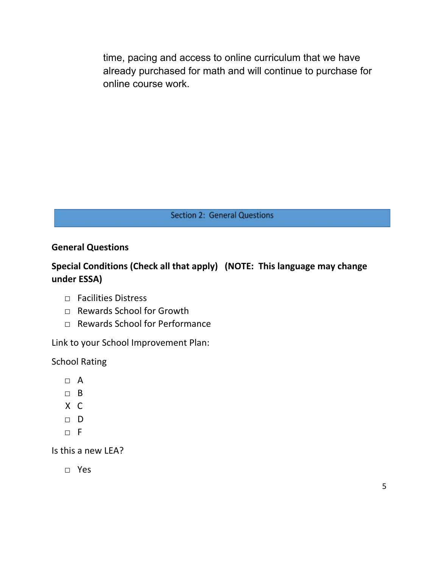time, pacing and access to online curriculum that we have already purchased for math and will continue to purchase for online course work.

**Section 2: General Questions** 

# **General Questions**

# **Special Conditions (Check all that apply) (NOTE: This language may change under ESSA)**

- □ Facilities Distress
- □ Rewards School for Growth
- □ Rewards School for Performance

Link to your School Improvement Plan:

School Rating

- $\Box$  A
- □ B
- X C
- □ D
- $\neg$  F

Is this a new LEA?

□ Yes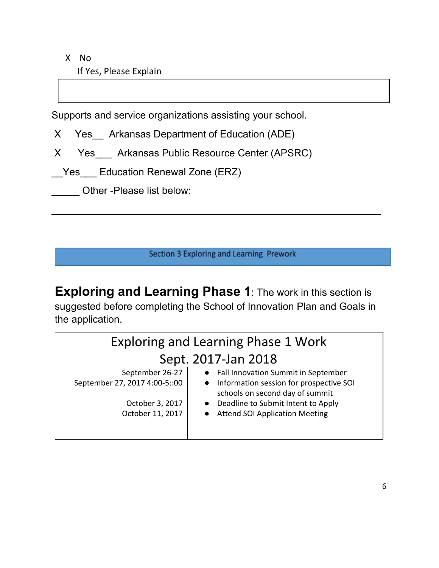X No If Yes, Please Explain

Supports and service organizations assisting your school.

X Yes Arkansas Department of Education (ADE)

X Yes Arkansas Public Resource Center (APSRC)

\_\_Yes\_\_\_ Education Renewal Zone (ERZ)

Other -Please list below:

Section 3 Exploring and Learning Prework

 $\overline{\phantom{a}}$  , and the contribution of the contribution of the contribution of the contribution of the contribution of the contribution of the contribution of the contribution of the contribution of the contribution of the

**Exploring and Learning Phase 1**: The work in this section is suggested before completing the School of Innovation Plan and Goals in the application.

| <b>Exploring and Learning Phase 1 Work</b> |                                                                              |  |  |  |
|--------------------------------------------|------------------------------------------------------------------------------|--|--|--|
| Sept. 2017-Jan 2018                        |                                                                              |  |  |  |
| September 26-27                            | • Fall Innovation Summit in September                                        |  |  |  |
| September 27, 2017 4:00-5::00              | • Information session for prospective SOI<br>schools on second day of summit |  |  |  |
| October 3, 2017                            | • Deadline to Submit Intent to Apply                                         |  |  |  |
| October 11, 2017                           | <b>Attend SOI Application Meeting</b>                                        |  |  |  |
|                                            |                                                                              |  |  |  |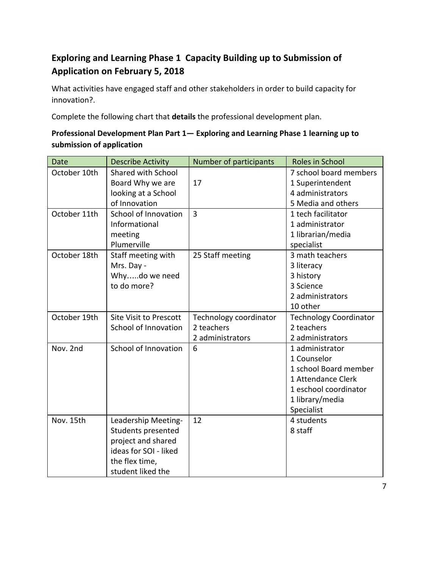# **Exploring and Learning Phase 1 Capacity Building up to Submission of Application on February 5, 2018**

What activities have engaged staff and other stakeholders in order to build capacity for innovation?.

Complete the following chart that **details** the professional development plan.

## **Professional Development Plan Part 1— Exploring and Learning Phase 1 learning up to submission of application**

| <b>Date</b>  | <b>Describe Activity</b>      | Number of participants | Roles in School               |
|--------------|-------------------------------|------------------------|-------------------------------|
| October 10th | <b>Shared with School</b>     |                        | 7 school board members        |
|              | Board Why we are              | 17                     | 1 Superintendent              |
|              | looking at a School           |                        | 4 administrators              |
|              | of Innovation                 |                        | 5 Media and others            |
| October 11th | School of Innovation          | $\overline{3}$         | 1 tech facilitator            |
|              | Informational                 |                        | 1 administrator               |
|              | meeting                       |                        | 1 librarian/media             |
|              | Plumerville                   |                        | specialist                    |
| October 18th | Staff meeting with            | 25 Staff meeting       | 3 math teachers               |
|              | Mrs. Day -                    |                        | 3 literacy                    |
|              | Whydo we need                 |                        | 3 history                     |
|              | to do more?                   |                        | 3 Science                     |
|              |                               |                        | 2 administrators              |
|              |                               |                        | 10 other                      |
| October 19th | <b>Site Visit to Prescott</b> | Technology coordinator | <b>Technology Coordinator</b> |
|              | School of Innovation          | 2 teachers             | 2 teachers                    |
|              |                               | 2 administrators       | 2 administrators              |
| Nov. 2nd     | School of Innovation          | 6                      | 1 administrator               |
|              |                               |                        | 1 Counselor                   |
|              |                               |                        | 1 school Board member         |
|              |                               |                        | 1 Attendance Clerk            |
|              |                               |                        | 1 eschool coordinator         |
|              |                               |                        | 1 library/media               |
|              |                               |                        | Specialist                    |
| Nov. 15th    | Leadership Meeting-           | 12                     | 4 students                    |
|              | Students presented            |                        | 8 staff                       |
|              | project and shared            |                        |                               |
|              | ideas for SOI - liked         |                        |                               |
|              | the flex time,                |                        |                               |
|              | student liked the             |                        |                               |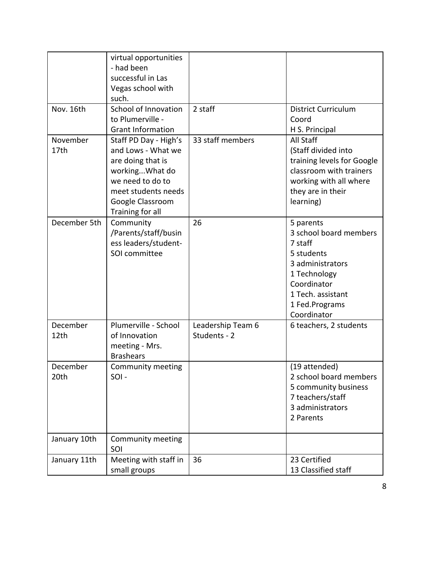|                  | virtual opportunities<br>- had been<br>successful in Las<br>Vegas school with<br>such.                                                                                |                                   |                                                                                                                                                                       |
|------------------|-----------------------------------------------------------------------------------------------------------------------------------------------------------------------|-----------------------------------|-----------------------------------------------------------------------------------------------------------------------------------------------------------------------|
| Nov. 16th        | School of Innovation<br>to Plumerville -<br><b>Grant Information</b>                                                                                                  | 2 staff                           | <b>District Curriculum</b><br>Coord<br>H S. Principal                                                                                                                 |
| November<br>17th | Staff PD Day - High's<br>and Lows - What we<br>are doing that is<br>workingWhat do<br>we need to do to<br>meet students needs<br>Google Classroom<br>Training for all | 33 staff members                  | All Staff<br>(Staff divided into<br>training levels for Google<br>classroom with trainers<br>working with all where<br>they are in their<br>learning)                 |
| December 5th     | Community<br>/Parents/staff/busin<br>ess leaders/student-<br>SOI committee                                                                                            | 26                                | 5 parents<br>3 school board members<br>7 staff<br>5 students<br>3 administrators<br>1 Technology<br>Coordinator<br>1 Tech. assistant<br>1 Fed.Programs<br>Coordinator |
| December<br>12th | Plumerville - School<br>of Innovation<br>meeting - Mrs.<br><b>Brashears</b>                                                                                           | Leadership Team 6<br>Students - 2 | 6 teachers, 2 students                                                                                                                                                |
| December<br>20th | Community meeting<br>SOI-                                                                                                                                             |                                   | (19 attended)<br>2 school board members<br>5 community business<br>7 teachers/staff<br>3 administrators<br>2 Parents                                                  |
| January 10th     | Community meeting<br>SOI                                                                                                                                              |                                   |                                                                                                                                                                       |
| January 11th     | Meeting with staff in<br>small groups                                                                                                                                 | 36                                | 23 Certified<br>13 Classified staff                                                                                                                                   |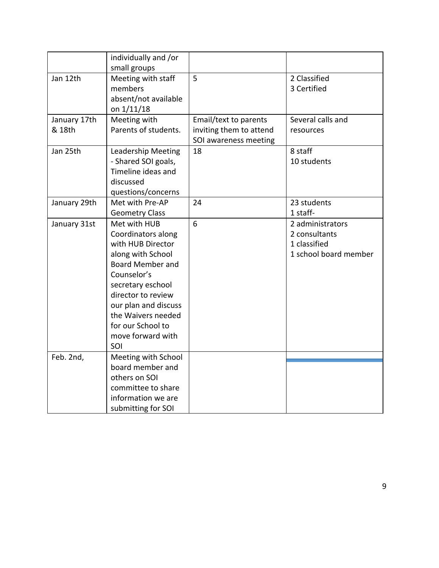|                        | individually and /or<br>small groups                                                                                                                                                                                                                             |                                                                           |                                                                            |
|------------------------|------------------------------------------------------------------------------------------------------------------------------------------------------------------------------------------------------------------------------------------------------------------|---------------------------------------------------------------------------|----------------------------------------------------------------------------|
| Jan 12th               | Meeting with staff<br>members<br>absent/not available                                                                                                                                                                                                            | 5                                                                         | 2 Classified<br>3 Certified                                                |
|                        | on 1/11/18                                                                                                                                                                                                                                                       |                                                                           |                                                                            |
| January 17th<br>& 18th | Meeting with<br>Parents of students.                                                                                                                                                                                                                             | Email/text to parents<br>inviting them to attend<br>SOI awareness meeting | Several calls and<br>resources                                             |
| Jan 25th               | Leadership Meeting<br>- Shared SOI goals,<br>Timeline ideas and<br>discussed<br>questions/concerns                                                                                                                                                               | 18                                                                        | 8 staff<br>10 students                                                     |
| January 29th           | Met with Pre-AP<br><b>Geometry Class</b>                                                                                                                                                                                                                         | 24                                                                        | 23 students<br>1 staff-                                                    |
| January 31st           | Met with HUB<br>Coordinators along<br>with HUB Director<br>along with School<br><b>Board Member and</b><br>Counselor's<br>secretary eschool<br>director to review<br>our plan and discuss<br>the Waivers needed<br>for our School to<br>move forward with<br>SOI | 6                                                                         | 2 administrators<br>2 consultants<br>1 classified<br>1 school board member |
| Feb. 2nd,              | Meeting with School                                                                                                                                                                                                                                              |                                                                           |                                                                            |
|                        | board member and                                                                                                                                                                                                                                                 |                                                                           |                                                                            |
|                        | others on SOI                                                                                                                                                                                                                                                    |                                                                           |                                                                            |
|                        | committee to share<br>information we are                                                                                                                                                                                                                         |                                                                           |                                                                            |
|                        | submitting for SOI                                                                                                                                                                                                                                               |                                                                           |                                                                            |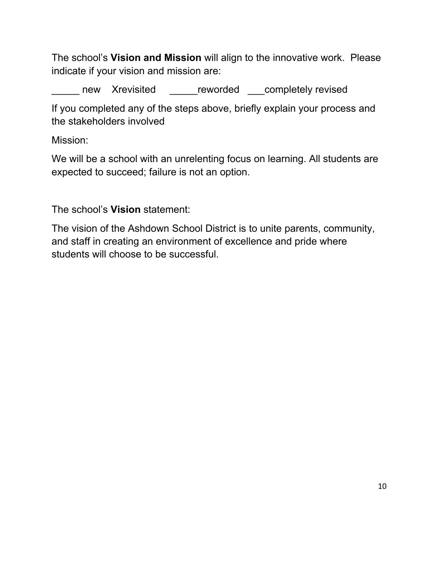The school's **Vision and Mission** will align to the innovative work. Please indicate if your vision and mission are:

Letter areve Xrevisited **Letter Letter and Tennish Completely revised** 

If you completed any of the steps above, briefly explain your process and the stakeholders involved

Mission:

We will be a school with an unrelenting focus on learning. All students are expected to succeed; failure is not an option.

The school's **Vision** statement:

The vision of the Ashdown School District is to unite parents, community, and staff in creating an environment of excellence and pride where students will choose to be successful.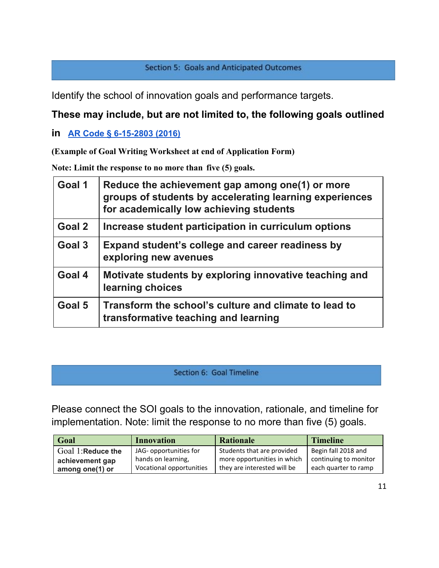## Section 5: Goals and Anticipated Outcomes

Identify the school of innovation goals and performance targets.

# **These may include, but are not limited to, the following goals outlined**

# **in [AR Code § 6-15-2803 \(2016\)](http://law.justia.com/codes/arkansas/2016/title-6/subtitle-2/chapter-15/subchapter-28/section-6-15-2803)**

**(Example of Goal Writing Worksheet at end of Application Form)**

**Note: Limit the response to no more than five (5) goals.**

| Goal 1 | Reduce the achievement gap among one(1) or more<br>groups of students by accelerating learning experiences<br>for academically low achieving students |
|--------|-------------------------------------------------------------------------------------------------------------------------------------------------------|
| Goal 2 | Increase student participation in curriculum options                                                                                                  |
| Goal 3 | Expand student's college and career readiness by<br>exploring new avenues                                                                             |
| Goal 4 | Motivate students by exploring innovative teaching and<br>learning choices                                                                            |
| Goal 5 | Transform the school's culture and climate to lead to<br>transformative teaching and learning                                                         |

### Section 6: Goal Timeline

Please connect the SOI goals to the innovation, rationale, and timeline for implementation. Note: limit the response to no more than five (5) goals.

| Goal              | <b>Innovation</b>        | <b>Rationale</b>            | <b>Timeline</b>       |
|-------------------|--------------------------|-----------------------------|-----------------------|
| Goal 1:Reduce the | JAG- opportunities for   | Students that are provided  | Begin fall 2018 and   |
| achievement gap   | hands on learning,       | more opportunities in which | continuing to monitor |
| among one(1) or   | Vocational opportunities | they are interested will be | each quarter to ramp  |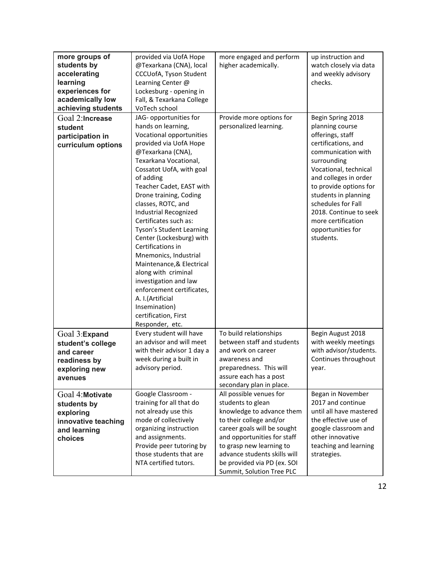| more groups of<br>students by<br>accelerating<br>learning<br>experiences for<br>academically low<br>achieving students | provided via UofA Hope<br>@Texarkana (CNA), local<br>CCCUofA, Tyson Student<br>Learning Center @<br>Lockesburg - opening in<br>Fall, & Texarkana College<br>VoTech school                                                                                                                                                                                                                                                                                                                                                                                                                                                | more engaged and perform<br>higher academically.                                                                                                                                                                                                                                           | up instruction and<br>watch closely via data<br>and weekly advisory<br>checks.                                                                                                                                                                                                                                                   |
|------------------------------------------------------------------------------------------------------------------------|--------------------------------------------------------------------------------------------------------------------------------------------------------------------------------------------------------------------------------------------------------------------------------------------------------------------------------------------------------------------------------------------------------------------------------------------------------------------------------------------------------------------------------------------------------------------------------------------------------------------------|--------------------------------------------------------------------------------------------------------------------------------------------------------------------------------------------------------------------------------------------------------------------------------------------|----------------------------------------------------------------------------------------------------------------------------------------------------------------------------------------------------------------------------------------------------------------------------------------------------------------------------------|
| Goal 2:Increase<br>student<br>participation in<br>curriculum options                                                   | JAG- opportunities for<br>hands on learning,<br>Vocational opportunities<br>provided via UofA Hope<br>@Texarkana (CNA),<br>Texarkana Vocational,<br>Cossatot UofA, with goal<br>of adding<br>Teacher Cadet, EAST with<br>Drone training, Coding<br>classes, ROTC, and<br>Industrial Recognized<br>Certificates such as:<br>Tyson's Student Learning<br>Center (Lockesburg) with<br>Certifications in<br>Mnemonics, Industrial<br>Maintenance, & Electrical<br>along with criminal<br>investigation and law<br>enforcement certificates,<br>A. I. (Artificial<br>Insemination)<br>certification, First<br>Responder, etc. | Provide more options for<br>personalized learning.                                                                                                                                                                                                                                         | Begin Spring 2018<br>planning course<br>offerings, staff<br>certifications, and<br>communication with<br>surrounding<br>Vocational, technical<br>and colleges in order<br>to provide options for<br>students in planning<br>schedules for Fall<br>2018. Continue to seek<br>more certification<br>opportunities for<br>students. |
| Goal 3:Expand<br>student's college<br>and career<br>readiness by<br>exploring new<br>avenues                           | Every student will have<br>an advisor and will meet<br>with their advisor 1 day a<br>week during a built in<br>advisory period.                                                                                                                                                                                                                                                                                                                                                                                                                                                                                          | To build relationships<br>between staff and students<br>and work on career<br>awareness and<br>preparedness. This will<br>assure each has a post<br>secondary plan in place.                                                                                                               | Begin August 2018<br>with weekly meetings<br>with advisor/students.<br>Continues throughout<br>year.                                                                                                                                                                                                                             |
| Goal 4: Motivate<br>students by<br>exploring<br>innovative teaching<br>and learning<br>choices                         | Google Classroom -<br>training for all that do<br>not already use this<br>mode of collectively<br>organizing instruction<br>and assignments.<br>Provide peer tutoring by<br>those students that are<br>NTA certified tutors.                                                                                                                                                                                                                                                                                                                                                                                             | All possible venues for<br>students to glean<br>knowledge to advance them<br>to their college and/or<br>career goals will be sought<br>and opportunities for staff<br>to grasp new learning to<br>advance students skills will<br>be provided via PD (ex. SOI<br>Summit, Solution Tree PLC | Began in November<br>2017 and continue<br>until all have mastered<br>the effective use of<br>google classroom and<br>other innovative<br>teaching and learning<br>strategies.                                                                                                                                                    |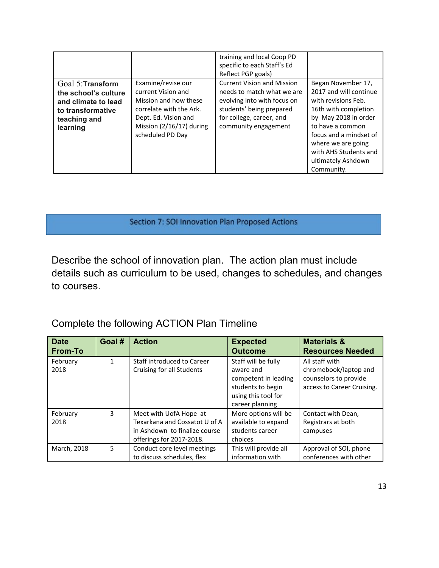|                                                                                                                   |                                                                                                                                                                        | training and local Coop PD<br>specific to each Staff's Ed<br>Reflect PGP goals)                                                                                                |                                                                                                                                                                                                                                                      |
|-------------------------------------------------------------------------------------------------------------------|------------------------------------------------------------------------------------------------------------------------------------------------------------------------|--------------------------------------------------------------------------------------------------------------------------------------------------------------------------------|------------------------------------------------------------------------------------------------------------------------------------------------------------------------------------------------------------------------------------------------------|
| Goal 5: Transform<br>the school's culture<br>and climate to lead<br>to transformative<br>teaching and<br>learning | Examine/revise our<br>current Vision and<br>Mission and how these<br>correlate with the Ark.<br>Dept. Ed. Vision and<br>Mission $(2/16/17)$ during<br>scheduled PD Day | <b>Current Vision and Mission</b><br>needs to match what we are<br>evolving into with focus on<br>students' being prepared<br>for college, career, and<br>community engagement | Began November 17,<br>2017 and will continue<br>with revisions Feb.<br>16th with completion<br>by May 2018 in order<br>to have a common<br>focus and a mindset of<br>where we are going<br>with AHS Students and<br>ultimately Ashdown<br>Community. |

## Section 7: SOI Innovation Plan Proposed Actions

Describe the school of innovation plan. The action plan must include details such as curriculum to be used, changes to schedules, and changes to courses.

# Complete the following ACTION Plan Timeline

| <b>Date</b><br><b>From-To</b> | Goal # | <b>Action</b>                                                                                                        | <b>Expected</b><br><b>Outcome</b>                                                                                       | <b>Materials &amp;</b><br><b>Resources Needed</b>                                              |
|-------------------------------|--------|----------------------------------------------------------------------------------------------------------------------|-------------------------------------------------------------------------------------------------------------------------|------------------------------------------------------------------------------------------------|
| February<br>2018              | 1      | Staff introduced to Career<br>Cruising for all Students                                                              | Staff will be fully<br>aware and<br>competent in leading<br>students to begin<br>using this tool for<br>career planning | All staff with<br>chromebook/laptop and<br>counselors to provide<br>access to Career Cruising. |
| February<br>2018              | 3      | Meet with UofA Hope at<br>Texarkana and Cossatot U of A<br>in Ashdown to finalize course<br>offerings for 2017-2018. | More options will be<br>available to expand<br>students career<br>choices                                               | Contact with Dean,<br>Registrars at both<br>campuses                                           |
| March, 2018                   | 5      | Conduct core level meetings<br>to discuss schedules, flex                                                            | This will provide all<br>information with                                                                               | Approval of SOI, phone<br>conferences with other                                               |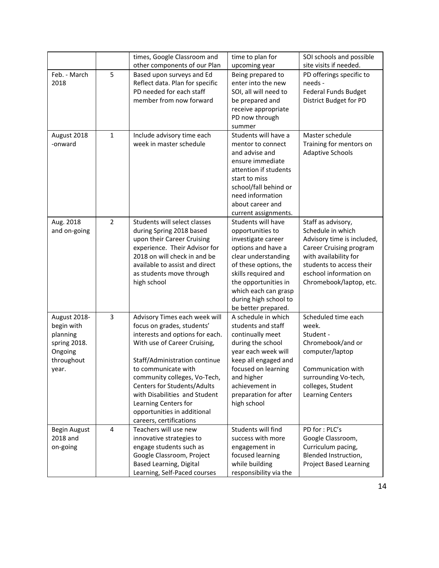|                                                                                          |                | times, Google Classroom and                                                                                                                                                                                                                                                                                                                                              | time to plan for                                                                                                                                                                                                                                          | SOI schools and possible                                                                                                                                                                                   |
|------------------------------------------------------------------------------------------|----------------|--------------------------------------------------------------------------------------------------------------------------------------------------------------------------------------------------------------------------------------------------------------------------------------------------------------------------------------------------------------------------|-----------------------------------------------------------------------------------------------------------------------------------------------------------------------------------------------------------------------------------------------------------|------------------------------------------------------------------------------------------------------------------------------------------------------------------------------------------------------------|
|                                                                                          |                | other components of our Plan                                                                                                                                                                                                                                                                                                                                             | upcoming year                                                                                                                                                                                                                                             | site visits if needed.                                                                                                                                                                                     |
| Feb. - March<br>2018                                                                     | 5              | Based upon surveys and Ed<br>Reflect data. Plan for specific<br>PD needed for each staff<br>member from now forward                                                                                                                                                                                                                                                      | Being prepared to<br>enter into the new<br>SOI, all will need to<br>be prepared and<br>receive appropriate<br>PD now through<br>summer                                                                                                                    | PD offerings specific to<br>needs -<br><b>Federal Funds Budget</b><br>District Budget for PD                                                                                                               |
| August 2018<br>-onward                                                                   | $\mathbf{1}$   | Include advisory time each<br>week in master schedule                                                                                                                                                                                                                                                                                                                    | Students will have a<br>mentor to connect<br>and advise and<br>ensure immediate<br>attention if students<br>start to miss<br>school/fall behind or<br>need information<br>about career and<br>current assignments.                                        | Master schedule<br>Training for mentors on<br><b>Adaptive Schools</b>                                                                                                                                      |
| Aug. 2018<br>and on-going                                                                | $\overline{2}$ | Students will select classes<br>during Spring 2018 based<br>upon their Career Cruising<br>experience. Their Advisor for<br>2018 on will check in and be<br>available to assist and direct<br>as students move through<br>high school                                                                                                                                     | Students will have<br>opportunities to<br>investigate career<br>options and have a<br>clear understanding<br>of these options, the<br>skills required and<br>the opportunities in<br>which each can grasp<br>during high school to<br>be better prepared. | Staff as advisory,<br>Schedule in which<br>Advisory time is included,<br>Career Cruising program<br>with availability for<br>students to access their<br>eschool information on<br>Chromebook/laptop, etc. |
| August 2018-<br>begin with<br>planning<br>spring 2018.<br>Ongoing<br>throughout<br>year. | 3              | Advisory Times each week will<br>focus on grades, students'<br>interests and options for each.<br>With use of Career Cruising,<br>Staff/Administration continue<br>to communicate with<br>community colleges, Vo-Tech,<br>Centers for Students/Adults<br>with Disabilities and Student<br>Learning Centers for<br>opportunities in additional<br>careers, certifications | A schedule in which<br>students and staff<br>continually meet<br>during the school<br>year each week will<br>keep all engaged and<br>focused on learning<br>and higher<br>achievement in<br>preparation for after<br>high school                          | Scheduled time each<br>week.<br>Student -<br>Chromebook/and or<br>computer/laptop<br>Communication with<br>surrounding Vo-tech,<br>colleges, Student<br><b>Learning Centers</b>                            |
| Begin August<br>2018 and<br>on-going                                                     | $\overline{4}$ | Teachers will use new<br>innovative strategies to<br>engage students such as<br>Google Classroom, Project<br>Based Learning, Digital<br>Learning, Self-Paced courses                                                                                                                                                                                                     | Students will find<br>success with more<br>engagement in<br>focused learning<br>while building<br>responsibility via the                                                                                                                                  | PD for: PLC's<br>Google Classroom,<br>Curriculum pacing,<br>Blended Instruction,<br><b>Project Based Learning</b>                                                                                          |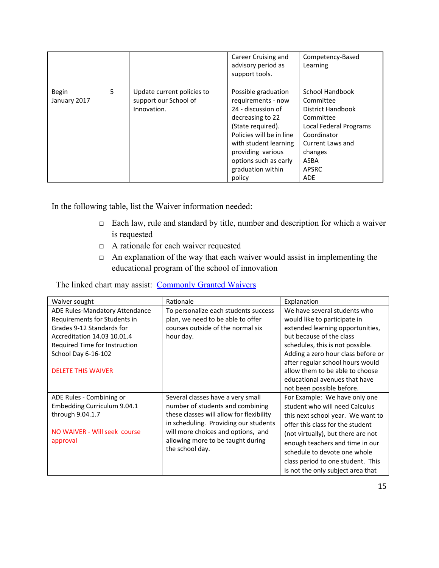|                       |   |                                                                    | Career Cruising and<br>advisory period as<br>support tools.                                                                                                                                                                                | Competency-Based<br>Learning                                                                                                                                                               |
|-----------------------|---|--------------------------------------------------------------------|--------------------------------------------------------------------------------------------------------------------------------------------------------------------------------------------------------------------------------------------|--------------------------------------------------------------------------------------------------------------------------------------------------------------------------------------------|
| Begin<br>January 2017 | 5 | Update current policies to<br>support our School of<br>Innovation. | Possible graduation<br>requirements - now<br>24 - discussion of<br>decreasing to 22<br>(State required).<br>Policies will be in line<br>with student learning<br>providing various<br>options such as early<br>graduation within<br>policy | School Handbook<br>Committee<br><b>District Handbook</b><br>Committee<br>Local Federal Programs<br>Coordinator<br>Current Laws and<br>changes<br><b>ASBA</b><br><b>APSRC</b><br><b>ADE</b> |

In the following table, list the Waiver information needed:

- □ Each law, rule and standard by title, number and description for which a waiver is requested
- □ A rationale for each waiver requested
- □ An explanation of the way that each waiver would assist in implementing the educational program of the school of innovation

## The linked chart may assist: [Commonly Granted Waivers](http://www.arkansased.gov/public/userfiles/Learning_Services/Charter%20and%20Home%20School/Charter%20School-Division%20of%20Learning%20Services/Applications/Waiver_Document.pdf)

| Waiver sought                  | Rationale                                | Explanation                        |
|--------------------------------|------------------------------------------|------------------------------------|
| ADE Rules-Mandatory Attendance | To personalize each students success     | We have several students who       |
| Requirements for Students in   | plan, we need to be able to offer        | would like to participate in       |
| Grades 9-12 Standards for      | courses outside of the normal six        | extended learning opportunities,   |
| Accreditation 14.03 10.01.4    | hour day.                                | but because of the class           |
| Required Time for Instruction  |                                          | schedules, this is not possible.   |
| School Day 6-16-102            |                                          | Adding a zero hour class before or |
|                                |                                          | after regular school hours would   |
| <b>DELETE THIS WAIVER</b>      |                                          | allow them to be able to choose    |
|                                |                                          | educational avenues that have      |
|                                |                                          | not been possible before.          |
| ADE Rules - Combining or       | Several classes have a very small        | For Example: We have only one      |
| Embedding Curriculum 9.04.1    | number of students and combining         | student who will need Calculus     |
| through 9.04.1.7               | these classes will allow for flexibility | this next school year. We want to  |
|                                | in scheduling. Providing our students    | offer this class for the student   |
| NO WAIVER - Will seek course   | will more choices and options, and       | (not virtually), but there are not |
| approval                       | allowing more to be taught during        | enough teachers and time in our    |
|                                | the school day.                          | schedule to devote one whole       |
|                                |                                          | class period to one student. This  |
|                                |                                          | is not the only subject area that  |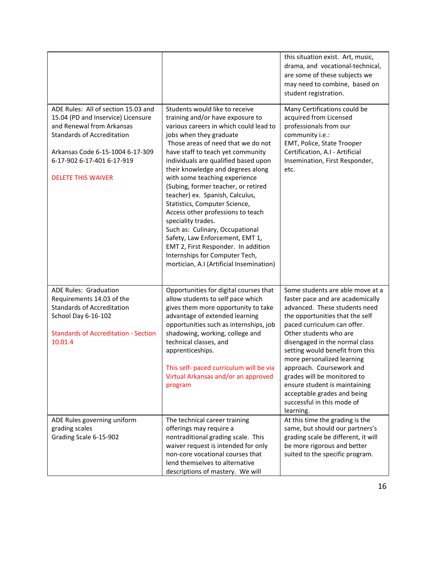|                                                                                                                                                                                                                                            |                                                                                                                                                                                                                                                                                                                                                                                                                                                                                                                                                                                                                                                                                                   | this situation exist. Art, music,<br>drama, and vocational-technical,<br>are some of these subjects we<br>may need to combine, based on<br>student registration.                                                                                                                                                                                                                                                                                                           |
|--------------------------------------------------------------------------------------------------------------------------------------------------------------------------------------------------------------------------------------------|---------------------------------------------------------------------------------------------------------------------------------------------------------------------------------------------------------------------------------------------------------------------------------------------------------------------------------------------------------------------------------------------------------------------------------------------------------------------------------------------------------------------------------------------------------------------------------------------------------------------------------------------------------------------------------------------------|----------------------------------------------------------------------------------------------------------------------------------------------------------------------------------------------------------------------------------------------------------------------------------------------------------------------------------------------------------------------------------------------------------------------------------------------------------------------------|
| ADE Rules: All of section 15.03 and<br>15.04 (PD and Inservice) Licensure<br>and Renewal from Arkansas<br><b>Standards of Accreditation</b><br>Arkansas Code 6-15-1004 6-17-309<br>6-17-902 6-17-401 6-17-919<br><b>DELETE THIS WAIVER</b> | Students would like to receive<br>training and/or have exposure to<br>various careers in which could lead to<br>jobs when they graduate<br>Those areas of need that we do not<br>have staff to teach yet community<br>individuals are qualified based upon<br>their knowledge and degrees along<br>with some teaching experience<br>(Subing, former teacher, or retired<br>teacher) ex. Spanish, Calculus,<br>Statistics, Computer Science,<br>Access other professions to teach<br>speciality trades.<br>Such as: Culinary, Occupational<br>Safety, Law Enforcement, EMT 1,<br>EMT 2, First Responder. In addition<br>Internships for Computer Tech,<br>mortician, A.I (Artificial Insemination) | Many Certifications could be<br>acquired from Licensed<br>professionals from our<br>community i.e.:<br>EMT, Police, State Trooper<br>Certification, A.I - Artificial<br>Insemination, First Responder,<br>etc.                                                                                                                                                                                                                                                             |
| <b>ADE Rules: Graduation</b><br>Requirements 14.03 of the<br><b>Standards of Accreditation</b><br>School Day 6-16-102<br><b>Standards of Accreditation - Section</b><br>10.01.4                                                            | Opportunities for digital courses that<br>allow students to self pace which<br>gives them more opportunity to take<br>advantage of extended learning<br>opportunities such as internships, job<br>shadowing, working, college and<br>technical classes, and<br>apprenticeships.<br>This self- paced curriculum will be via<br>Virtual Arkansas and/or an approved<br>program                                                                                                                                                                                                                                                                                                                      | Some students are able move at a<br>faster pace and are academically<br>advanced. These students need<br>the opportunities that the self<br>paced curriculum can offer.<br>Other students who are<br>disengaged in the normal class<br>setting would benefit from this<br>more personalized learning<br>approach. Coursework and<br>grades will be monitored to<br>ensure student is maintaining<br>acceptable grades and being<br>successful in this mode of<br>learning. |
| ADE Rules governing uniform<br>grading scales<br>Grading Scale 6-15-902                                                                                                                                                                    | The technical career training<br>offerings may require a<br>nontraditional grading scale. This<br>waiver request is intended for only<br>non-core vocational courses that<br>lend themselves to alternative<br>descriptions of mastery. We will                                                                                                                                                                                                                                                                                                                                                                                                                                                   | At this time the grading is the<br>same, but should our partners's<br>grading scale be different, it will<br>be more rigorous and better<br>suited to the specific program.                                                                                                                                                                                                                                                                                                |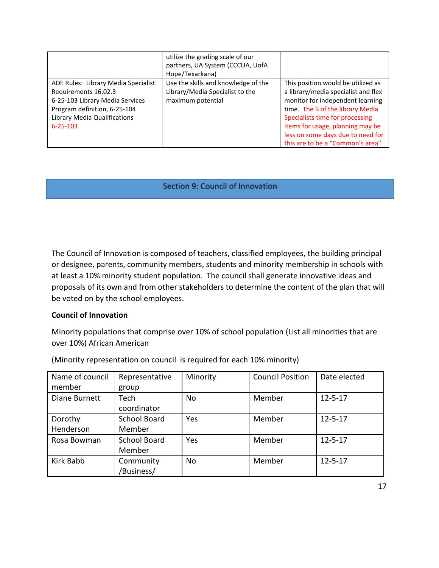|                                                                                                                                                                                  | utilize the grading scale of our<br>partners, UA System (CCCUA, UofA<br>Hope/Texarkana)     |                                                                                                                                                                                                                                                                                                                |
|----------------------------------------------------------------------------------------------------------------------------------------------------------------------------------|---------------------------------------------------------------------------------------------|----------------------------------------------------------------------------------------------------------------------------------------------------------------------------------------------------------------------------------------------------------------------------------------------------------------|
| ADE Rules: Library Media Specialist<br>Requirements 16.02.3<br>6-25-103 Library Media Services<br>Program definition, 6-25-104<br>Library Media Qualifications<br>$6 - 25 - 103$ | Use the skills and knowledge of the<br>Library/Media Specialist to the<br>maximum potential | This position would be utilized as<br>a library/media specialist and flex<br>monitor for independent learning<br>time. The <sup>1/3</sup> of the library Media<br>Specialists time for processing<br>items for usage, planning may be<br>less on some days due to need for<br>this are to be a "Common's area" |

#### Section 9: Council of Innovation

The Council of Innovation is composed of teachers, classified employees, the building principal or designee, parents, community members, students and minority membership in schools with at least a 10% minority student population. The council shall generate innovative ideas and proposals of its own and from other stakeholders to determine the content of the plan that will be voted on by the school employees.

#### **Council of Innovation**

Minority populations that comprise over 10% of school population (List all minorities that are over 10%) African American

| Name of council | Representative      | Minority  | <b>Council Position</b> | Date elected  |
|-----------------|---------------------|-----------|-------------------------|---------------|
| member          | group               |           |                         |               |
| Diane Burnett   | Tech                | No        | Member                  | $12 - 5 - 17$ |
|                 | coordinator         |           |                         |               |
| Dorothy         | <b>School Board</b> | Yes       | Member                  | $12 - 5 - 17$ |
| Henderson       | Member              |           |                         |               |
| Rosa Bowman     | <b>School Board</b> | Yes       | Member                  | $12 - 5 - 17$ |
|                 | Member              |           |                         |               |
| Kirk Babb       | Community           | <b>No</b> | Member                  | $12 - 5 - 17$ |
|                 | /Business/          |           |                         |               |

(Minority representation on council is required for each 10% minority)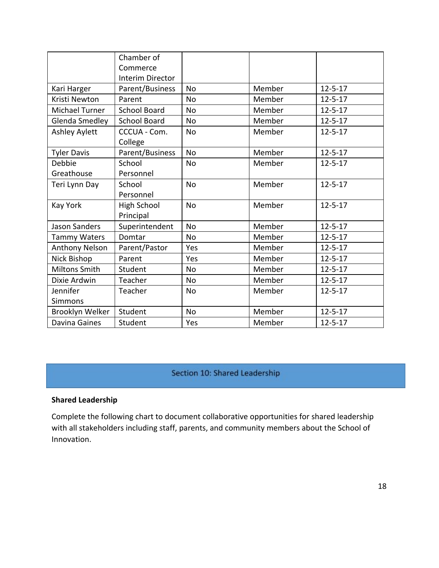|                       | Chamber of              |           |        |               |
|-----------------------|-------------------------|-----------|--------|---------------|
|                       | Commerce                |           |        |               |
|                       | <b>Interim Director</b> |           |        |               |
| Kari Harger           | Parent/Business         | <b>No</b> | Member | $12 - 5 - 17$ |
| Kristi Newton         | Parent                  | <b>No</b> | Member | $12 - 5 - 17$ |
| Michael Turner        | <b>School Board</b>     | <b>No</b> | Member | $12 - 5 - 17$ |
| Glenda Smedley        | <b>School Board</b>     | <b>No</b> | Member | $12 - 5 - 17$ |
| Ashley Aylett         | CCCUA - Com.<br>College | <b>No</b> | Member | $12 - 5 - 17$ |
| <b>Tyler Davis</b>    | Parent/Business         | <b>No</b> | Member | $12 - 5 - 17$ |
| Debbie                | School                  | No        | Member | $12 - 5 - 17$ |
| Greathouse            | Personnel               |           |        |               |
| Teri Lynn Day         | School                  | <b>No</b> | Member | $12 - 5 - 17$ |
|                       | Personnel               |           |        |               |
| <b>Kay York</b>       | <b>High School</b>      | <b>No</b> | Member | $12 - 5 - 17$ |
|                       | Principal               |           |        |               |
| <b>Jason Sanders</b>  | Superintendent          | <b>No</b> | Member | $12 - 5 - 17$ |
| <b>Tammy Waters</b>   | Domtar                  | <b>No</b> | Member | $12 - 5 - 17$ |
| <b>Anthony Nelson</b> | Parent/Pastor           | Yes       | Member | $12 - 5 - 17$ |
| Nick Bishop           | Parent                  | Yes       | Member | $12 - 5 - 17$ |
| <b>Miltons Smith</b>  | Student                 | <b>No</b> | Member | $12 - 5 - 17$ |
| Dixie Ardwin          | Teacher                 | <b>No</b> | Member | $12 - 5 - 17$ |
| Jennifer              | Teacher                 | <b>No</b> | Member | $12 - 5 - 17$ |
| <b>Simmons</b>        |                         |           |        |               |
| Brooklyn Welker       | Student                 | <b>No</b> | Member | $12 - 5 - 17$ |
| Davina Gaines         | Student                 | Yes       | Member | $12 - 5 - 17$ |

# Section 10: Shared Leadership

## **Shared Leadership**

Complete the following chart to document collaborative opportunities for shared leadership with all stakeholders including staff, parents, and community members about the School of Innovation.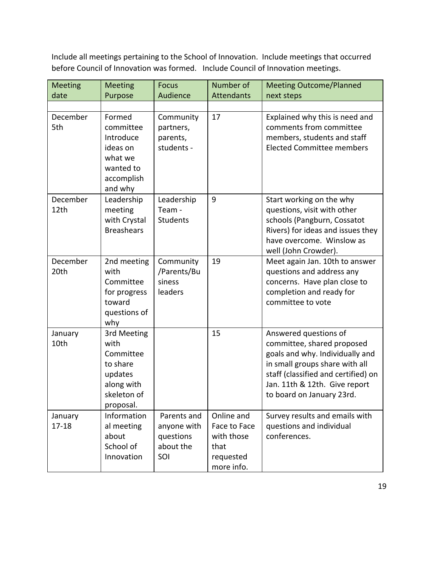Include all meetings pertaining to the School of Innovation. Include meetings that occurred before Council of Innovation was formed. Include Council of Innovation meetings.

| <b>Meeting</b>       | <b>Meeting</b>                                                                                    | <b>Focus</b>                                                | Number of                                                                   | <b>Meeting Outcome/Planned</b>                                                                                                                                                                                                |
|----------------------|---------------------------------------------------------------------------------------------------|-------------------------------------------------------------|-----------------------------------------------------------------------------|-------------------------------------------------------------------------------------------------------------------------------------------------------------------------------------------------------------------------------|
| date                 | Purpose                                                                                           | Audience                                                    | <b>Attendants</b>                                                           | next steps                                                                                                                                                                                                                    |
|                      |                                                                                                   |                                                             |                                                                             |                                                                                                                                                                                                                               |
| December<br>5th      | Formed<br>committee<br>Introduce<br>ideas on<br>what we<br>wanted to<br>accomplish<br>and why     | Community<br>partners,<br>parents,<br>students -            | 17                                                                          | Explained why this is need and<br>comments from committee<br>members, students and staff<br><b>Elected Committee members</b>                                                                                                  |
| December<br>12th     | Leadership<br>meeting<br>with Crystal<br><b>Breashears</b>                                        | Leadership<br>Team -<br><b>Students</b>                     | 9                                                                           | Start working on the why<br>questions, visit with other<br>schools (Pangburn, Cossatot<br>Rivers) for ideas and issues they<br>have overcome. Winslow as<br>well (John Crowder).                                              |
| December<br>20th     | 2nd meeting<br>with<br>Committee<br>for progress<br>toward<br>questions of<br>why                 | Community<br>/Parents/Bu<br>siness<br>leaders               | 19                                                                          | Meet again Jan. 10th to answer<br>questions and address any<br>concerns. Have plan close to<br>completion and ready for<br>committee to vote                                                                                  |
| January<br>10th      | 3rd Meeting<br>with<br>Committee<br>to share<br>updates<br>along with<br>skeleton of<br>proposal. |                                                             | 15                                                                          | Answered questions of<br>committee, shared proposed<br>goals and why. Individually and<br>in small groups share with all<br>staff (classified and certified) on<br>Jan. 11th & 12th. Give report<br>to board on January 23rd. |
| January<br>$17 - 18$ | Information<br>al meeting<br>about<br>School of<br>Innovation                                     | Parents and<br>anyone with<br>questions<br>about the<br>SOI | Online and<br>Face to Face<br>with those<br>that<br>requested<br>more info. | Survey results and emails with<br>questions and individual<br>conferences.                                                                                                                                                    |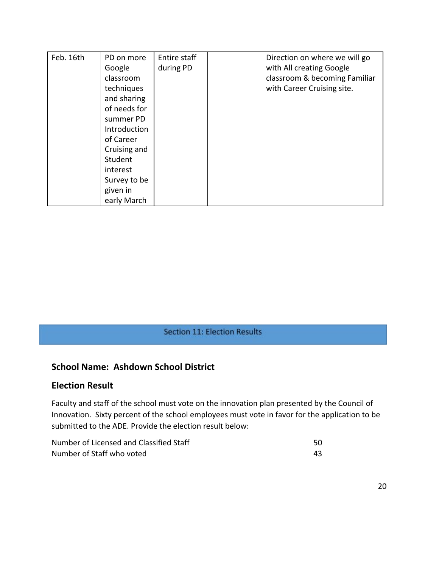| Feb. 16th | PD on more   | Entire staff | Direction on where we will go |
|-----------|--------------|--------------|-------------------------------|
|           | Google       | during PD    | with All creating Google      |
|           | classroom    |              | classroom & becoming Familiar |
|           | techniques   |              | with Career Cruising site.    |
|           | and sharing  |              |                               |
|           | of needs for |              |                               |
|           | summer PD    |              |                               |
|           | Introduction |              |                               |
|           | of Career    |              |                               |
|           | Cruising and |              |                               |
|           | Student      |              |                               |
|           | interest     |              |                               |
|           | Survey to be |              |                               |
|           | given in     |              |                               |
|           | early March  |              |                               |

## Section 11: Election Results

# **School Name: Ashdown School District**

#### **Election Result**

Faculty and staff of the school must vote on the innovation plan presented by the Council of Innovation. Sixty percent of the school employees must vote in favor for the application to be submitted to the ADE. Provide the election result below:

| Number of Licensed and Classified Staff |  |
|-----------------------------------------|--|
| Number of Staff who voted               |  |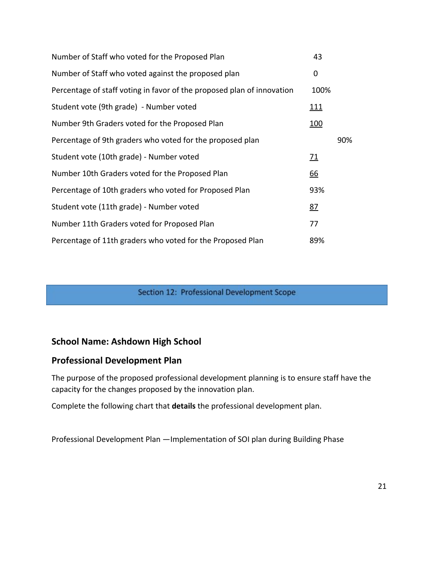| Number of Staff who voted for the Proposed Plan                        | 43          |     |
|------------------------------------------------------------------------|-------------|-----|
| Number of Staff who voted against the proposed plan                    | 0           |     |
| Percentage of staff voting in favor of the proposed plan of innovation | 100%        |     |
| Student vote (9th grade) - Number voted                                | <u> 111</u> |     |
| Number 9th Graders voted for the Proposed Plan                         | <u>100</u>  |     |
| Percentage of 9th graders who voted for the proposed plan              |             | 90% |
| Student vote (10th grade) - Number voted                               | <u> 71</u>  |     |
| Number 10th Graders voted for the Proposed Plan                        | <u>66</u>   |     |
| Percentage of 10th graders who voted for Proposed Plan                 | 93%         |     |
| Student vote (11th grade) - Number voted                               | 87          |     |
| Number 11th Graders voted for Proposed Plan                            | 77          |     |
| Percentage of 11th graders who voted for the Proposed Plan             | 89%         |     |

### Section 12: Professional Development Scope

# **School Name: Ashdown High School**

# **Professional Development Plan**

The purpose of the proposed professional development planning is to ensure staff have the capacity for the changes proposed by the innovation plan.

Complete the following chart that **details** the professional development plan.

Professional Development Plan —Implementation of SOI plan during Building Phase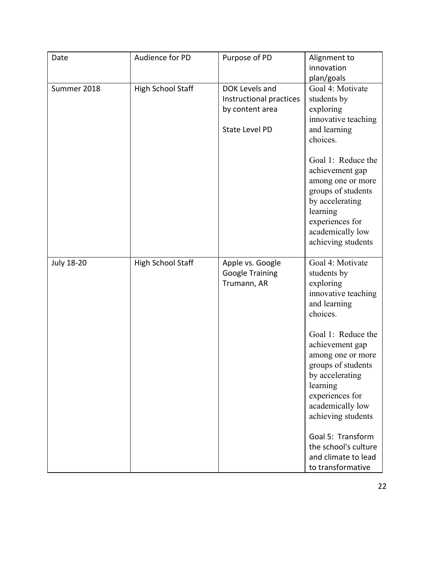| Date              | Audience for PD          | Purpose of PD                                                                         | Alignment to<br>innovation<br>plan/goals                                                                                                                                                                                                                                                                                                                                 |
|-------------------|--------------------------|---------------------------------------------------------------------------------------|--------------------------------------------------------------------------------------------------------------------------------------------------------------------------------------------------------------------------------------------------------------------------------------------------------------------------------------------------------------------------|
| Summer 2018       | <b>High School Staff</b> | DOK Levels and<br>Instructional practices<br>by content area<br><b>State Level PD</b> | Goal 4: Motivate<br>students by<br>exploring<br>innovative teaching<br>and learning<br>choices.<br>Goal 1: Reduce the<br>achievement gap<br>among one or more<br>groups of students<br>by accelerating<br>learning<br>experiences for<br>academically low<br>achieving students                                                                                          |
| <b>July 18-20</b> | <b>High School Staff</b> | Apple vs. Google<br><b>Google Training</b><br>Trumann, AR                             | Goal 4: Motivate<br>students by<br>exploring<br>innovative teaching<br>and learning<br>choices.<br>Goal 1: Reduce the<br>achievement gap<br>among one or more<br>groups of students<br>by accelerating<br>learning<br>experiences for<br>academically low<br>achieving students<br>Goal 5: Transform<br>the school's culture<br>and climate to lead<br>to transformative |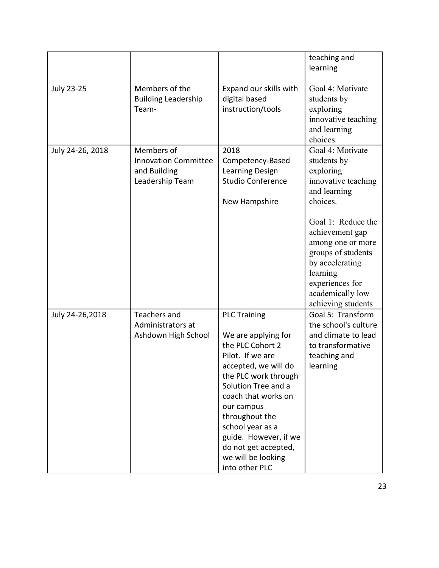|                   |                                                                              |                                                                                                                                                                                                                                                                                                                               | teaching and<br>learning                                                                                                                                                     |
|-------------------|------------------------------------------------------------------------------|-------------------------------------------------------------------------------------------------------------------------------------------------------------------------------------------------------------------------------------------------------------------------------------------------------------------------------|------------------------------------------------------------------------------------------------------------------------------------------------------------------------------|
| <b>July 23-25</b> | Members of the<br><b>Building Leadership</b><br>Team-                        | Expand our skills with<br>digital based<br>instruction/tools                                                                                                                                                                                                                                                                  | Goal 4: Motivate<br>students by<br>exploring<br>innovative teaching<br>and learning<br>choices.                                                                              |
| July 24-26, 2018  | Members of<br><b>Innovation Committee</b><br>and Building<br>Leadership Team | 2018<br>Competency-Based<br>Learning Design<br><b>Studio Conference</b><br>New Hampshire                                                                                                                                                                                                                                      | Goal 4: Motivate<br>students by<br>exploring<br>innovative teaching<br>and learning<br>choices.                                                                              |
|                   |                                                                              |                                                                                                                                                                                                                                                                                                                               | Goal 1: Reduce the<br>achievement gap<br>among one or more<br>groups of students<br>by accelerating<br>learning<br>experiences for<br>academically low<br>achieving students |
| July 24-26,2018   | Teachers and<br>Administrators at<br>Ashdown High School                     | <b>PLC Training</b><br>We are applying for<br>the PLC Cohort 2<br>Pilot. If we are<br>accepted, we will do<br>the PLC work through<br>Solution Tree and a<br>coach that works on<br>our campus<br>throughout the<br>school year as a<br>guide. However, if we<br>do not get accepted,<br>we will be looking<br>into other PLC | Goal 5: Transform<br>the school's culture<br>and climate to lead<br>to transformative<br>teaching and<br>learning                                                            |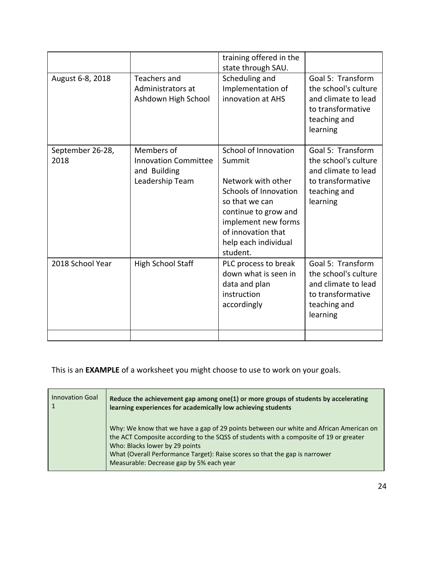|                          |                                                                              | training offered in the<br>state through SAU.                                                                                                                                                            |                                                                                                                   |
|--------------------------|------------------------------------------------------------------------------|----------------------------------------------------------------------------------------------------------------------------------------------------------------------------------------------------------|-------------------------------------------------------------------------------------------------------------------|
| August 6-8, 2018         | Teachers and<br>Administrators at<br>Ashdown High School                     | Scheduling and<br>Implementation of<br>innovation at AHS                                                                                                                                                 | Goal 5: Transform<br>the school's culture<br>and climate to lead<br>to transformative<br>teaching and<br>learning |
| September 26-28,<br>2018 | Members of<br><b>Innovation Committee</b><br>and Building<br>Leadership Team | School of Innovation<br>Summit<br>Network with other<br>Schools of Innovation<br>so that we can<br>continue to grow and<br>implement new forms<br>of innovation that<br>help each individual<br>student. | Goal 5: Transform<br>the school's culture<br>and climate to lead<br>to transformative<br>teaching and<br>learning |
| 2018 School Year         | High School Staff                                                            | PLC process to break<br>down what is seen in<br>data and plan<br>instruction<br>accordingly                                                                                                              | Goal 5: Transform<br>the school's culture<br>and climate to lead<br>to transformative<br>teaching and<br>learning |
|                          |                                                                              |                                                                                                                                                                                                          |                                                                                                                   |

This is an **EXAMPLE** of a worksheet you might choose to use to work on your goals.

| <b>Innovation Goal</b> | Reduce the achievement gap among one(1) or more groups of students by accelerating<br>learning experiences for academically low achieving students                                                                                                                                                                                           |
|------------------------|----------------------------------------------------------------------------------------------------------------------------------------------------------------------------------------------------------------------------------------------------------------------------------------------------------------------------------------------|
|                        | Why: We know that we have a gap of 29 points between our white and African American on<br>the ACT Composite according to the SQSS of students with a composite of 19 or greater<br>Who: Blacks lower by 29 points<br>What (Overall Performance Target): Raise scores so that the gap is narrower<br>Measurable: Decrease gap by 5% each year |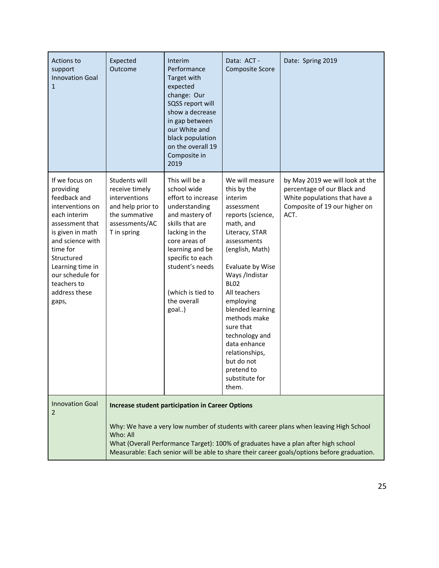| Actions to<br>support<br><b>Innovation Goal</b><br>$\mathbf{1}$                                                                                                                                                                                       | Expected<br>Outcome                                                                                                     | Interim<br>Performance<br>Target with<br>expected<br>change: Our<br>SQSS report will<br>show a decrease<br>in gap between<br>our White and<br>black population<br>on the overall 19<br>Composite in<br>2019                                         | Data: ACT -<br><b>Composite Score</b>                                                                                                                                                                                                                                                                                                                                                       | Date: Spring 2019                                                                                                                                                                                                                                                          |
|-------------------------------------------------------------------------------------------------------------------------------------------------------------------------------------------------------------------------------------------------------|-------------------------------------------------------------------------------------------------------------------------|-----------------------------------------------------------------------------------------------------------------------------------------------------------------------------------------------------------------------------------------------------|---------------------------------------------------------------------------------------------------------------------------------------------------------------------------------------------------------------------------------------------------------------------------------------------------------------------------------------------------------------------------------------------|----------------------------------------------------------------------------------------------------------------------------------------------------------------------------------------------------------------------------------------------------------------------------|
| If we focus on<br>providing<br>feedback and<br>interventions on<br>each interim<br>assessment that<br>is given in math<br>and science with<br>time for<br>Structured<br>Learning time in<br>our schedule for<br>teachers to<br>address these<br>gaps, | Students will<br>receive timely<br>interventions<br>and help prior to<br>the summative<br>assessments/AC<br>T in spring | This will be a<br>school wide<br>effort to increase<br>understanding<br>and mastery of<br>skills that are<br>lacking in the<br>core areas of<br>learning and be<br>specific to each<br>student's needs<br>(which is tied to<br>the overall<br>goal) | We will measure<br>this by the<br>interim<br>assessment<br>reports (science,<br>math, and<br>Literacy, STAR<br>assessments<br>(english, Math)<br>Evaluate by Wise<br>Ways /Indistar<br><b>BL02</b><br>All teachers<br>employing<br>blended learning<br>methods make<br>sure that<br>technology and<br>data enhance<br>relationships,<br>but do not<br>pretend to<br>substitute for<br>them. | by May 2019 we will look at the<br>percentage of our Black and<br>White populations that have a<br>Composite of 19 our higher on<br>ACT.                                                                                                                                   |
| <b>Innovation Goal</b><br>$\overline{2}$                                                                                                                                                                                                              | Who: All                                                                                                                | <b>Increase student participation in Career Options</b>                                                                                                                                                                                             |                                                                                                                                                                                                                                                                                                                                                                                             | Why: We have a very low number of students with career plans when leaving High School<br>What (Overall Performance Target): 100% of graduates have a plan after high school<br>Measurable: Each senior will be able to share their career goals/options before graduation. |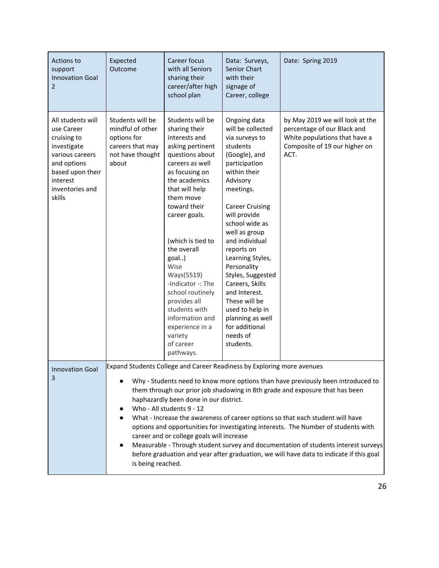| Actions to<br>support<br><b>Innovation Goal</b><br>2                                                                                                         | Expected<br>Outcome                                                                                                                                                                                                                                                                                                                                                                                                                                                                                                                                                                                                                                                                                                                                       | Career focus<br>with all Seniors<br>sharing their<br>career/after high<br>school plan                                                                                                                                                                                                                                                                                                                                                   | Data: Surveys,<br>Senior Chart<br>with their<br>signage of<br>Career, college                                                                                                                                                                                                                                                                                                                                                                          | Date: Spring 2019                                                                                                                        |  |  |  |  |  |
|--------------------------------------------------------------------------------------------------------------------------------------------------------------|-----------------------------------------------------------------------------------------------------------------------------------------------------------------------------------------------------------------------------------------------------------------------------------------------------------------------------------------------------------------------------------------------------------------------------------------------------------------------------------------------------------------------------------------------------------------------------------------------------------------------------------------------------------------------------------------------------------------------------------------------------------|-----------------------------------------------------------------------------------------------------------------------------------------------------------------------------------------------------------------------------------------------------------------------------------------------------------------------------------------------------------------------------------------------------------------------------------------|--------------------------------------------------------------------------------------------------------------------------------------------------------------------------------------------------------------------------------------------------------------------------------------------------------------------------------------------------------------------------------------------------------------------------------------------------------|------------------------------------------------------------------------------------------------------------------------------------------|--|--|--|--|--|
| All students will<br>use Career<br>cruising to<br>investigate<br>various careers<br>and options<br>based upon their<br>interest<br>inventories and<br>skills | Students will be<br>mindful of other<br>options for<br>careers that may<br>not have thought<br>about                                                                                                                                                                                                                                                                                                                                                                                                                                                                                                                                                                                                                                                      | Students will be<br>sharing their<br>interests and<br>asking pertinent<br>questions about<br>careers as well<br>as focusing on<br>the academics<br>that will help<br>them move<br>toward their<br>career goals.<br>(which is tied to<br>the overall<br>goal)<br>Wise<br>Ways(5519)<br>-Indicator -: The<br>school routinely<br>provides all<br>students with<br>information and<br>experience in a<br>variety<br>of career<br>pathways. | Ongoing data<br>will be collected<br>via surveys to<br>students<br>(Google), and<br>participation<br>within their<br>Advisory<br>meetings.<br><b>Career Cruising</b><br>will provide<br>school wide as<br>well as group<br>and individual<br>reports on<br>Learning Styles,<br>Personality<br>Styles, Suggested<br>Careers, Skills<br>and Interest.<br>These will be<br>used to help in<br>planning as well<br>for additional<br>needs of<br>students. | by May 2019 we will look at the<br>percentage of our Black and<br>White populations that have a<br>Composite of 19 our higher on<br>ACT. |  |  |  |  |  |
| <b>Innovation Goal</b><br>3                                                                                                                                  | Expand Students College and Career Readiness by Exploring more avenues<br>Why - Students need to know more options than have previously been introduced to<br>them through our prior job shadowing in 8th grade and exposure that has been<br>haphazardly been done in our district.<br>Who - All students 9 - 12<br>What - Increase the awareness of career options so that each student will have<br>options and opportunities for investigating interests. The Number of students with<br>career and or college goals will increase<br>Measurable - Through student survey and documentation of students interest surveys<br>$\bullet$<br>before graduation and year after graduation, we will have data to indicate if this goal<br>is being reached. |                                                                                                                                                                                                                                                                                                                                                                                                                                         |                                                                                                                                                                                                                                                                                                                                                                                                                                                        |                                                                                                                                          |  |  |  |  |  |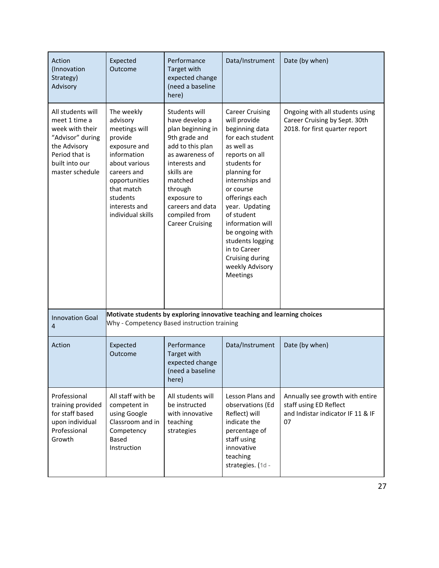| Action<br>(Innovation<br>Strategy)<br>Advisory                                                                                                   | Expected<br>Outcome                                                                                                                                                                                                                                                                                                                                                                                                                                   | Performance<br><b>Target with</b><br>expected change<br>(need a baseline<br>here) | Data/Instrument                                                                                                                                                                                                                                                                                                                                             | Date (by when)                                                                                       |
|--------------------------------------------------------------------------------------------------------------------------------------------------|-------------------------------------------------------------------------------------------------------------------------------------------------------------------------------------------------------------------------------------------------------------------------------------------------------------------------------------------------------------------------------------------------------------------------------------------------------|-----------------------------------------------------------------------------------|-------------------------------------------------------------------------------------------------------------------------------------------------------------------------------------------------------------------------------------------------------------------------------------------------------------------------------------------------------------|------------------------------------------------------------------------------------------------------|
| All students will<br>meet 1 time a<br>week with their<br>"Advisor" during<br>the Advisory<br>Period that is<br>built into our<br>master schedule | The weekly<br>Students will<br>have develop a<br>advisory<br>meetings will<br>plan beginning in<br>provide<br>9th grade and<br>add to this plan<br>exposure and<br>information<br>as awareness of<br>about various<br>interests and<br>skills are<br>careers and<br>matched<br>opportunities<br>that match<br>through<br>students<br>exposure to<br>interests and<br>careers and data<br>individual skills<br>compiled from<br><b>Career Cruising</b> |                                                                                   | <b>Career Cruising</b><br>will provide<br>beginning data<br>for each student<br>as well as<br>reports on all<br>students for<br>planning for<br>internships and<br>or course<br>offerings each<br>year. Updating<br>of student<br>information will<br>be ongoing with<br>students logging<br>in to Career<br>Cruising during<br>weekly Advisory<br>Meetings | Ongoing with all students using<br>Career Cruising by Sept. 30th<br>2018. for first quarter report   |
| <b>Innovation Goal</b><br>4                                                                                                                      | Motivate students by exploring innovative teaching and learning choices<br>Why - Competency Based instruction training                                                                                                                                                                                                                                                                                                                                |                                                                                   |                                                                                                                                                                                                                                                                                                                                                             |                                                                                                      |
| Action<br>Expected<br>Outcome                                                                                                                    |                                                                                                                                                                                                                                                                                                                                                                                                                                                       | Performance<br>Target with<br>expected change<br>(need a baseline<br>here)        | Data/Instrument                                                                                                                                                                                                                                                                                                                                             | Date (by when)                                                                                       |
| Professional<br>training provided<br>for staff based<br>upon individual<br>Professional<br>Growth                                                | All staff with be<br>competent in<br>using Google<br>Classroom and in<br>Competency<br>Based<br>Instruction                                                                                                                                                                                                                                                                                                                                           | All students will<br>be instructed<br>with innovative<br>teaching<br>strategies   | Lesson Plans and<br>observations (Ed<br>Reflect) will<br>indicate the<br>percentage of<br>staff using<br>innovative<br>teaching<br>strategies. (1d -                                                                                                                                                                                                        | Annually see growth with entire<br>staff using ED Reflect<br>and Indistar indicator IF 11 & IF<br>07 |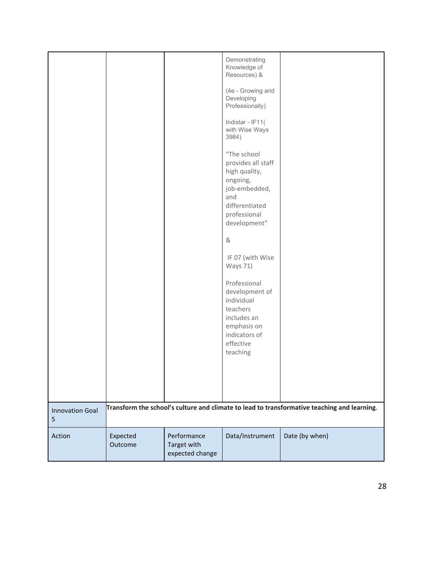|                             |                     |                                               | Demonstrating<br>Knowledge of<br>Resources) &                                                                                            |                                                                                             |
|-----------------------------|---------------------|-----------------------------------------------|------------------------------------------------------------------------------------------------------------------------------------------|---------------------------------------------------------------------------------------------|
|                             |                     |                                               | (4e - Growing and<br>Developing<br>Professionally)                                                                                       |                                                                                             |
|                             |                     |                                               | Indistar - IF11(<br>with Wise Ways<br>3984)                                                                                              |                                                                                             |
|                             |                     |                                               | "The school<br>provides all staff<br>high quality,<br>ongoing,<br>job-embedded,<br>and<br>differentiated<br>professional<br>development" |                                                                                             |
|                             |                     |                                               | &                                                                                                                                        |                                                                                             |
|                             |                     |                                               | IF 07 (with Wise<br><b>Ways 71)</b>                                                                                                      |                                                                                             |
|                             |                     |                                               | Professional<br>development of<br>individual<br>teachers<br>includes an<br>emphasis on<br>indicators of<br>effective<br>teaching         |                                                                                             |
|                             |                     |                                               |                                                                                                                                          |                                                                                             |
|                             |                     |                                               |                                                                                                                                          |                                                                                             |
| <b>Innovation Goal</b><br>5 |                     |                                               |                                                                                                                                          | Transform the school's culture and climate to lead to transformative teaching and learning. |
| Action                      | Expected<br>Outcome | Performance<br>Target with<br>expected change | Data/Instrument                                                                                                                          | Date (by when)                                                                              |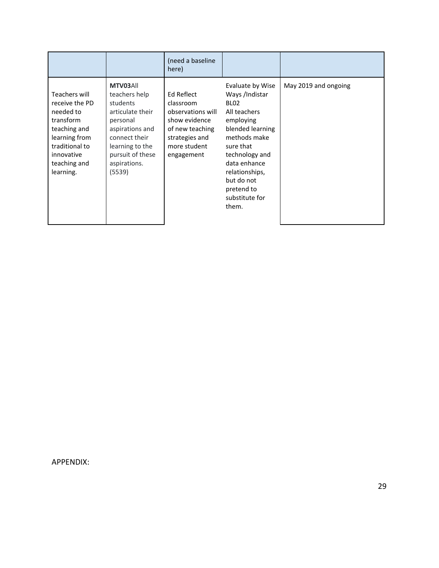|                                                                                                                                                         |                                                                                                                                                                            | (need a baseline<br>here)                                                                                                        |                                                                                                                                                                                                                                                 |                      |
|---------------------------------------------------------------------------------------------------------------------------------------------------------|----------------------------------------------------------------------------------------------------------------------------------------------------------------------------|----------------------------------------------------------------------------------------------------------------------------------|-------------------------------------------------------------------------------------------------------------------------------------------------------------------------------------------------------------------------------------------------|----------------------|
| Teachers will<br>receive the PD<br>needed to<br>transform<br>teaching and<br>learning from<br>traditional to<br>innovative<br>teaching and<br>learning. | MTV03All<br>teachers help<br>students<br>articulate their<br>personal<br>aspirations and<br>connect their<br>learning to the<br>pursuit of these<br>aspirations.<br>(5539) | Ed Reflect<br>classroom<br>observations will<br>show evidence<br>of new teaching<br>strategies and<br>more student<br>engagement | Evaluate by Wise<br>Ways /Indistar<br>BL <sub>02</sub><br>All teachers<br>employing<br>blended learning<br>methods make<br>sure that<br>technology and<br>data enhance<br>relationships,<br>but do not<br>pretend to<br>substitute for<br>them. | May 2019 and ongoing |

APPENDIX: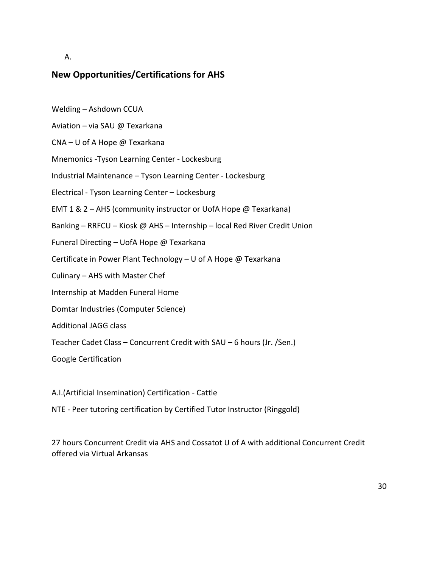#### A.

## **New Opportunities/Certifications for AHS**

- Welding Ashdown CCUA
- Aviation via SAU @ Texarkana
- CNA U of A Hope @ Texarkana
- Mnemonics -Tyson Learning Center Lockesburg
- Industrial Maintenance Tyson Learning Center Lockesburg
- Electrical Tyson Learning Center Lockesburg
- EMT 1 & 2 AHS (community instructor or UofA Hope @ Texarkana)
- Banking RRFCU Kiosk @ AHS Internship local Red River Credit Union
- Funeral Directing UofA Hope @ Texarkana
- Certificate in Power Plant Technology U of A Hope @ Texarkana
- Culinary AHS with Master Chef
- Internship at Madden Funeral Home
- Domtar Industries (Computer Science)
- Additional JAGG class
- Teacher Cadet Class Concurrent Credit with SAU 6 hours (Jr. /Sen.)
- Google Certification
- A.I.(Artificial Insemination) Certification Cattle
- NTE Peer tutoring certification by Certified Tutor Instructor (Ringgold)

27 hours Concurrent Credit via AHS and Cossatot U of A with additional Concurrent Credit offered via Virtual Arkansas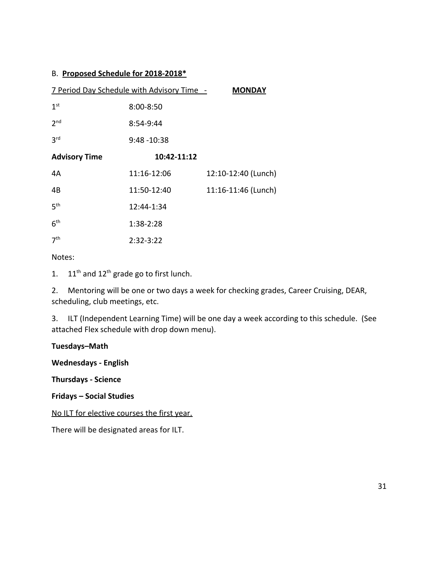#### B. **Proposed Schedule for 2018-2018\***

|                      | 7 Period Day Schedule with Advisory Time - | <b>MONDAY</b>       |
|----------------------|--------------------------------------------|---------------------|
| 1 <sup>st</sup>      | $8:00 - 8:50$                              |                     |
| 2 <sub>nd</sub>      | 8:54-9:44                                  |                     |
| 3 <sup>rd</sup>      | $9:48 - 10:38$                             |                     |
| <b>Advisory Time</b> | 10:42-11:12                                |                     |
| 4A                   | 11:16-12:06                                | 12:10-12:40 (Lunch) |
| 4B                   | 11:50-12:40                                | 11:16-11:46 (Lunch) |
| 5 <sup>th</sup>      | 12:44-1:34                                 |                     |
| 6 <sup>th</sup>      | 1:38-2:28                                  |                     |
| 7 <sup>th</sup>      | $2:32 - 3:22$                              |                     |

#### Notes:

1.  $11<sup>th</sup>$  and  $12<sup>th</sup>$  grade go to first lunch.

2. Mentoring will be one or two days a week for checking grades, Career Cruising, DEAR, scheduling, club meetings, etc.

3. ILT (Independent Learning Time) will be one day a week according to this schedule. (See attached Flex schedule with drop down menu).

#### **Tuesdays–Math**

**Wednesdays - English**

**Thursdays - Science**

**Fridays – Social Studies**

No ILT for elective courses the first year.

There will be designated areas for ILT.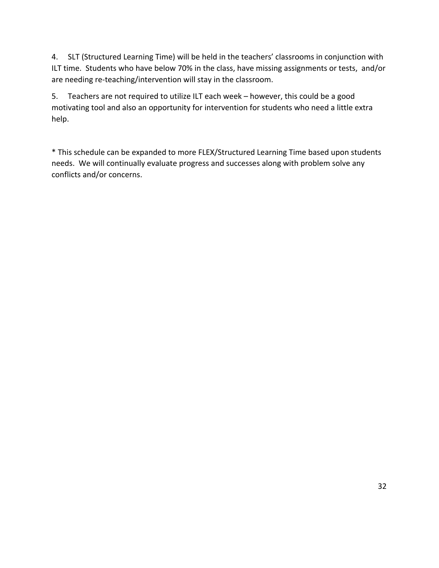4. SLT (Structured Learning Time) will be held in the teachers' classrooms in conjunction with ILT time. Students who have below 70% in the class, have missing assignments or tests, and/or are needing re-teaching/intervention will stay in the classroom.

5. Teachers are not required to utilize ILT each week – however, this could be a good motivating tool and also an opportunity for intervention for students who need a little extra help.

\* This schedule can be expanded to more FLEX/Structured Learning Time based upon students needs. We will continually evaluate progress and successes along with problem solve any conflicts and/or concerns.